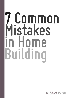# **7 Common Mistakes in Home Building**

architect Manila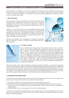# architect Manila

## 7 common mistakes in home building

From the point of deciding to have your house built to the point of its completion, the fact that so many things can go wrong is such a scary thought. So we decided to collect some common mistakes to help us avoid the potholes in construction and have a better experience in realzing our dream homes. We hope this list helps.

#### **1. "Free" Floor plans**

There are some contractors out there who will offer "free floor plans" if you hire them as the general contractor of your home. I hope you understand that there's no such thing as a "free lunch." Odds are they will recover the cost of the plans by just hiding it within the cost of building your house.

Likewise it is very likely that you will not be getting expert planning. I've heard of stories of contractors recycling old or using template projects plans. Plans which will unlikely be a perfect match for your lot in terms of its location, orientation and context, because they were designed for someone else and not specifically for you, your needs, your lifestyle and your taste.

Planning and design which is relegated as a sideshow will unlikely get the attention it needs to produce quality design that every client deserves





#### 2. "Pa Pirma" system

There's a terrible system happening in the practice today, it's the "pa pirma" system. This is where people get a draftsman to draw up a floor plan and then approach some licensed professional to sign the floor plans for a fraction of the normal cost. In this system the client is short changed as they are not getting expert service. The people who signs for the plans will only check for regulatory requirements such as setbacks, height limits etc. just to ensure that their licence won't be compromised. However they won't really care about anything else. Space planning & design would be the least of their worries as they they would be only paid a couple of thousand pesos to provide the signature to meet the minimum regulatory requirements of a professional signature.

Likewise, the client will not get professional supervision during construction. An architect is supposed to be the clients representative to ensure that the builder follows the approved plans accurately and ensure that your house is safe and correct according to the agreed and approved plans. In the end, the purpose of the "pa pirma" system is to circumvent the fees of the licenced professional, however, not getting the complete service of an experienced and qualified professional can cost you in the end when you get a home that doesn't turn up to be what you need and what you want.

#### **3. Changes after the finalized plans**

It's fairly common that even during construction; clients change their mind and ask for changes to the plans. However this practice can be very costly for several reasons:

- a. Changes may affect structural design and may require additional support.
- b. There may have been preparations made that would be wasted because of the new change.
- c. Construction costs for changes are usually charged higher as the contractors are no longer pricing to get the job.
- d. Additional lead time may be required for the new materials needed.

In the end, a change from the finalized plan can have both time and cost implications so it would be best to make sure that all options have been studied during the conceptual stage and you are happy with the finalized plan.